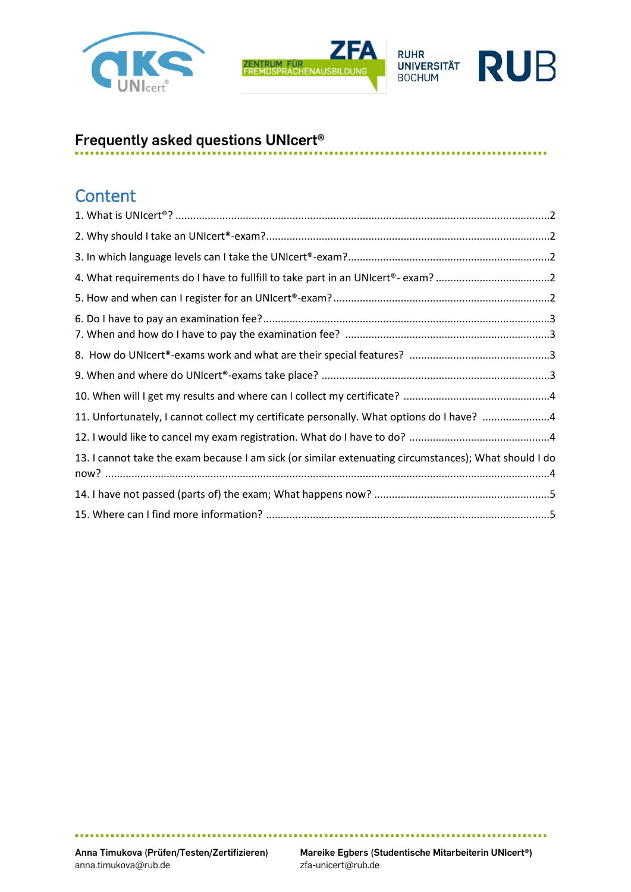





# **Frequently asked questions UNIcert®**

#### ..............................

#### **Content**

| 11. Unfortunately, I cannot collect my certificate personally. What options do I have? 4              |  |
|-------------------------------------------------------------------------------------------------------|--|
|                                                                                                       |  |
| 13. I cannot take the exam because I am sick (or similar extenuating circumstances); What should I do |  |
|                                                                                                       |  |
|                                                                                                       |  |

,,,,,,,,,,,,,

a a a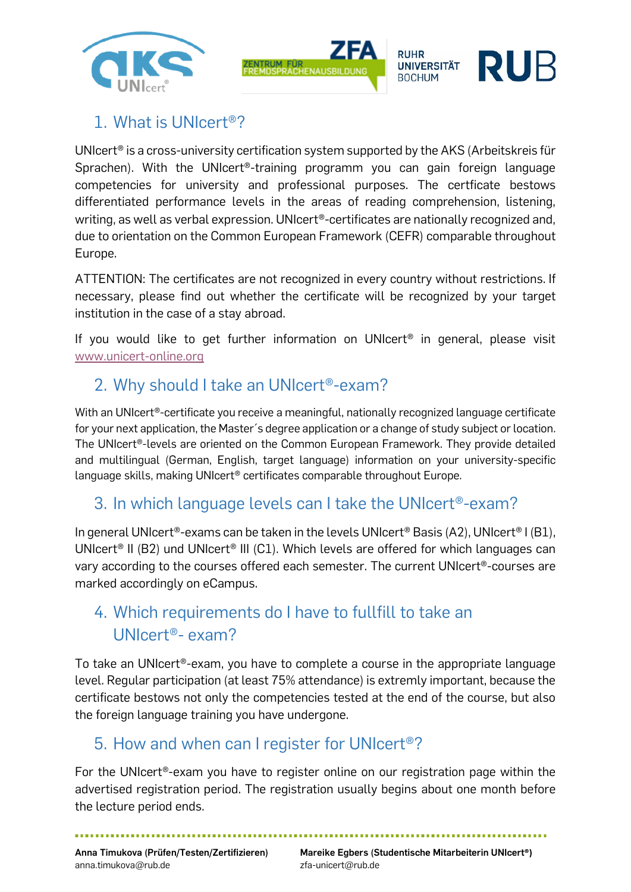



## 1. What is UNIcert®?

UNIcert® is a cross-university certification system supported by the AKS (Arbeitskreis für Sprachen). With the UNIcert<sup>®</sup>-training programm you can gain foreign language competencies for university and professional purposes. The certficate bestows differentiated performance levels in the areas of reading comprehension, listening, writing, as well as verbal expression. UNIcert®-certificates are nationally recognized and, due to orientation on the Common European Framework (CEFR) comparable throughout Europe.

ATTENTION: The certificates are not recognized in every country without restrictions. If necessary, please find out whether the certificate will be recognized by your target institution in the case of a stay abroad.

If you would like to get further information on UNIcert<sup>®</sup> in general, please visit [www.unicert-online.org](http://www.unicert-online.org/)

## 2. Why should I take an UNIcert®-exam?

With an UNIcert®-certificate you receive a meaningful, nationally recognized language certificate for your next application, the Master´s degree application or a change of study subject or location. The UNIcert®-levels are oriented on the Common European Framework. They provide detailed and multilingual (German, English, target language) information on your university-specific language skills, making UNIcert® certificates comparable throughout Europe.

#### 3. In which language levels can I take the UNIcert®-exam?

In general UNIcert®-exams can be taken in the levels UNIcert® Basis (A2), UNIcert® I (B1), UNIcert<sup>®</sup> II (B2) und UNIcert<sup>®</sup> III (C1). Which levels are offered for which languages can vary according to the courses offered each semester. The current UNIcert®-courses are marked accordingly on eCampus.

# 4. Which requirements do I have to fullfill to take an UNIcert®- exam?

To take an UNIcert®-exam, you have to complete a course in the appropriate language level. Regular participation (at least 75% attendance) is extremly important, because the certificate bestows not only the competencies tested at the end of the course, but also the foreign language training you have undergone.

#### 5. How and when can I register for UNIcert®?

For the UNIcert®-exam you have to register online on our registration page within the advertised registration period. The registration usually begins about one month before the lecture period ends.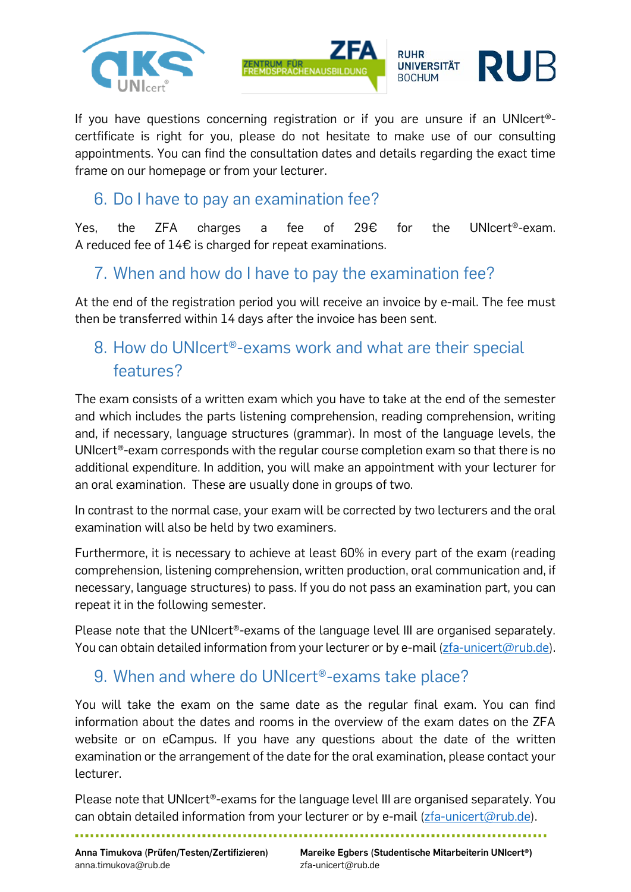



If you have questions concerning registration or if you are unsure if an UNIcert® certfificate is right for you, please do not hesitate to make use of our consulting appointments. You can find the consultation dates and details regarding the exact time frame on our homepage or from your lecturer.

#### 6. Do I have to pay an examination fee?

Yes, the ZFA charges a fee of 29€ for the UNIcert®-exam. A reduced fee of 14€ is charged for repeat examinations.

### 7. When and how do I have to pay the examination fee?

At the end of the registration period you will receive an invoice by e-mail. The fee must then be transferred within 14 days after the invoice has been sent.

# 8. How do UNIcert®-exams work and what are their special features?

The exam consists of a written exam which you have to take at the end of the semester and which includes the parts listening comprehension, reading comprehension, writing and, if necessary, language structures (grammar). In most of the language levels, the UNIcert®-exam corresponds with the regular course completion exam so that there is no additional expenditure. In addition, you will make an appointment with your lecturer for an oral examination. These are usually done in groups of two.

In contrast to the normal case, your exam will be corrected by two lecturers and the oral examination will also be held by two examiners.

Furthermore, it is necessary to achieve at least 60% in every part of the exam (reading comprehension, listening comprehension, written production, oral communication and, if necessary, language structures) to pass. If you do not pass an examination part, you can repeat it in the following semester.

Please note that the UNIcert®-exams of the language level III are organised separately. You can obtain detailed information from your lecturer or by e-mail  $(zfa-unicert@rub.de)$ .

## 9. When and where do UNIcert®-exams take place?

You will take the exam on the same date as the regular final exam. You can find information about the dates and rooms in the overview of the exam dates on the ZFA website or on eCampus. If you have any questions about the date of the written examination or the arrangement of the date for the oral examination, please contact your lecturer.

Please note that UNIcert®-exams for the language level III are organised separately. You can obtain detailed information from your lecturer or by e-mail [\(zfa-unicert@rub.de\)](mailto:zfa-unicert@rub.de).

anna.timukova@rub.de zfa-unicert@rub.de

**Anna Timukova (Prüfen/Testen/Zertifizieren) Mareike Egbers (Studentische Mitarbeiterin UNIcert®)**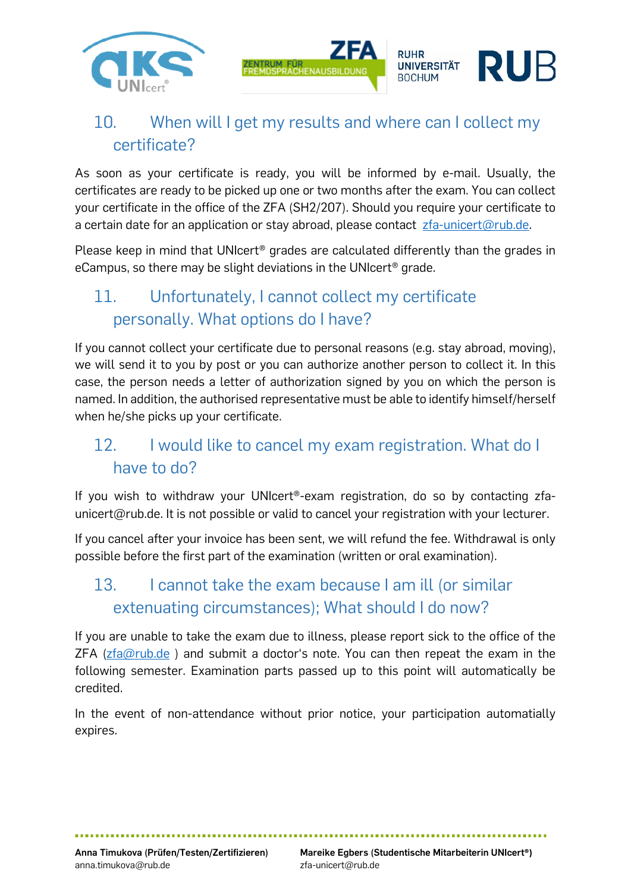

# 10. When will I get my results and where can I collect my certificate?

As soon as your certificate is ready, you will be informed by e-mail. Usually, the certificates are ready to be picked up one or two months after the exam. You can collect your certificate in the office of the ZFA (SH2/207). Should you require your certificate to a certain date for an application or stay abroad, please contact  $zfa\text{-unicert}(\omega rub.de.)$ 

Please keep in mind that UNIcert<sup>®</sup> grades are calculated differently than the grades in eCampus, so there may be slight deviations in the UNIcert® grade.

# 11. Unfortunately, I cannot collect my certificate personally. What options do I have?

If you cannot collect your certificate due to personal reasons (e.g. stay abroad, moving), we will send it to you by post or you can authorize another person to collect it. In this case, the person needs a letter of authorization signed by you on which the person is named. In addition, the authorised representative must be able to identify himself/herself when he/she picks up your certificate.

# 12. I would like to cancel my exam registration. What do I have to do?

If you wish to withdraw your UNIcert®-exam registration, do so by contacting zfaunicert@rub.de. It is not possible or valid to cancel your registration with your lecturer.

If you cancel after your invoice has been sent, we will refund the fee. Withdrawal is only possible before the first part of the examination (written or oral examination).

# 13. I cannot take the exam because I am ill (or similar extenuating circumstances); What should I do now?

If you are unable to take the exam due to illness, please report sick to the office of the  $ZFA$  ( $zfa@rub.de$ ) and submit a doctor's note. You can then repeat the exam in the following semester. Examination parts passed up to this point will automatically be credited.

In the event of non-attendance without prior notice, your participation automatially expires.